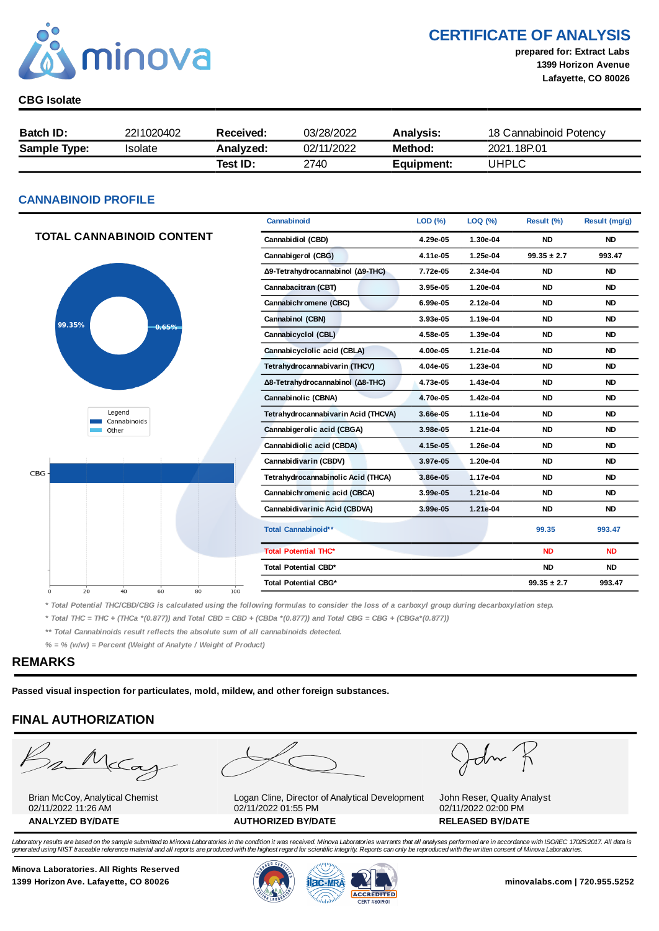

CERTIFICATE OF ANALYSIS

prepared for: Extract Labs 1399 Horizon Avenue Lafayette, CO 80026

#### CBG Isolate

| <b>Batch ID:</b>    | 2211020402 | Received: | 03/28/2022 | <b>Analysis:</b> | 18 Cannabinoid Potency |
|---------------------|------------|-----------|------------|------------------|------------------------|
| <b>Sample Type:</b> | Isolate    | Analvzed: | 02/11/2022 | Method:          | 2021.18P.01            |
|                     |            | Test ID:  | 2740       | Equipment:       | UHPLC                  |

#### CANNABINOID PROFILE

|                                  | Cannabinoid                         | LOD(%)   | LOQ (%)  | Result (%)      | Result (mg/g) |
|----------------------------------|-------------------------------------|----------|----------|-----------------|---------------|
| <b>TOTAL CANNABINOID CONTENT</b> | Cannabidiol (CBD)                   | 4.29e-05 | 1.30e-04 | <b>ND</b>       | <b>ND</b>     |
|                                  | Cannabigerol (CBG)                  | 4.11e-05 | 1.25e-04 | $99.35 \pm 2.7$ | 993.47        |
|                                  | Δ9-Tetrahydrocannabinol (Δ9-THC)    | 7.72e-05 | 2.34e-04 | <b>ND</b>       | <b>ND</b>     |
|                                  | Cannabacitran (CBT)                 | 3.95e-05 | 1.20e-04 | <b>ND</b>       | <b>ND</b>     |
|                                  | Cannabichromene (CBC)               | 6.99e-05 | 2.12e-04 | <b>ND</b>       | <b>ND</b>     |
| 99.35%<br>0.65%                  | Cannabinol (CBN)                    | 3.93e-05 | 1.19e-04 | <b>ND</b>       | <b>ND</b>     |
|                                  | Cannabicyclol (CBL)                 | 4.58e-05 | 1.39e-04 | <b>ND</b>       | <b>ND</b>     |
|                                  | Cannabicyclolic acid (CBLA)         | 4.00e-05 | 1.21e-04 | <b>ND</b>       | <b>ND</b>     |
|                                  | Tetrahydrocannabivarin (THCV)       | 4.04e-05 | 1.23e-04 | <b>ND</b>       | <b>ND</b>     |
|                                  | Δ8-Tetrahydrocannabinol (Δ8-THC)    | 4.73e-05 | 1.43e-04 | <b>ND</b>       | <b>ND</b>     |
|                                  | Cannabinolic (CBNA)                 | 4.70e-05 | 1.42e-04 | <b>ND</b>       | <b>ND</b>     |
| Legend<br>Cannabinoids           | Tetrahydrocannabivarin Acid (THCVA) | 3.66e-05 | 1.11e-04 | <b>ND</b>       | <b>ND</b>     |
| Other                            | Cannabigerolic acid (CBGA)          |          | 1.21e-04 | <b>ND</b>       | <b>ND</b>     |
|                                  | Cannabidiolic acid (CBDA)           | 4.15e-05 | 1.26e-04 | <b>ND</b>       | <b>ND</b>     |
|                                  | Cannabidivarin (CBDV)               | 3.97e-05 | 1.20e-04 | <b>ND</b>       | <b>ND</b>     |
| CBG-                             | Tetrahydrocannabinolic Acid (THCA)  | 3.86e-05 | 1.17e-04 | <b>ND</b>       | <b>ND</b>     |
|                                  | Cannabichromenic acid (CBCA)        | 3.99e-05 | 1.21e-04 | <b>ND</b>       | <b>ND</b>     |
|                                  | Cannabidivarinic Acid (CBDVA)       | 3.99e-05 | 1.21e-04 | <b>ND</b>       | <b>ND</b>     |
|                                  | Total Cannabinoid**                 |          |          | 99.35           | 993.47        |
|                                  | <b>Total Potential THC*</b>         |          |          | <b>ND</b>       | <b>ND</b>     |
|                                  | Total Potential CBD*                |          |          | <b>ND</b>       | <b>ND</b>     |
| 20<br>40<br>60<br>80<br>100<br>0 | <b>Total Potential CBG*</b>         |          |          | $99.35 \pm 2.7$ | 993.47        |

\* Total Potential THC/CBD/CBG is calculated using the following formulas to consider the loss of a carboxyl group during decarboxylation step.

\* Total THC = THC + (THCa \*(0.877)) and Total CBD = CBD + (CBDa \*(0.877)) and Total CBG = CBG + (CBGa\*(0.877))

\*\* Total Cannabinoids result reflects the absolute sum of all cannabinoids detected.

 $% =$  % (w/w) = Percent (Weight of Analyte / Weight of Product)

#### REMARKS

Passed visual inspection for particulates, mold, mildew, and other foreign substances.

### FINAL AUTHORIZATION



Brian McCoy, Analytical Chemist 02/11/2022 11:26 AM



Logan Cline, Director of Analytical Development 02/11/2022 01:55 PM ANALYZED BY/DATE AUTHORIZED BY/DATE AUTHORIZED BY/DATE

John

John Reser, Quality Analyst 02/11/2022 02:00 PM

Laboratory results are based on the sample submitted to Minova Laboratories in the condition it was received. Minova Laboratories warrants that all analyses performed are in accordance with ISO/IEC 17025:2017. All data is generated using NIST traceable reference material and all reports are produced with the highest regard for scientific integrity. Reports can only be reproduced with the written consent of Minova Laboratories.

Minova Laboratories. All Rights Reserved 1399 Horizon Ave. Lafayette, CO 80026 **1300 Minovalabs.com | 720.955.5252** minovalabs.com | 720.955.5252



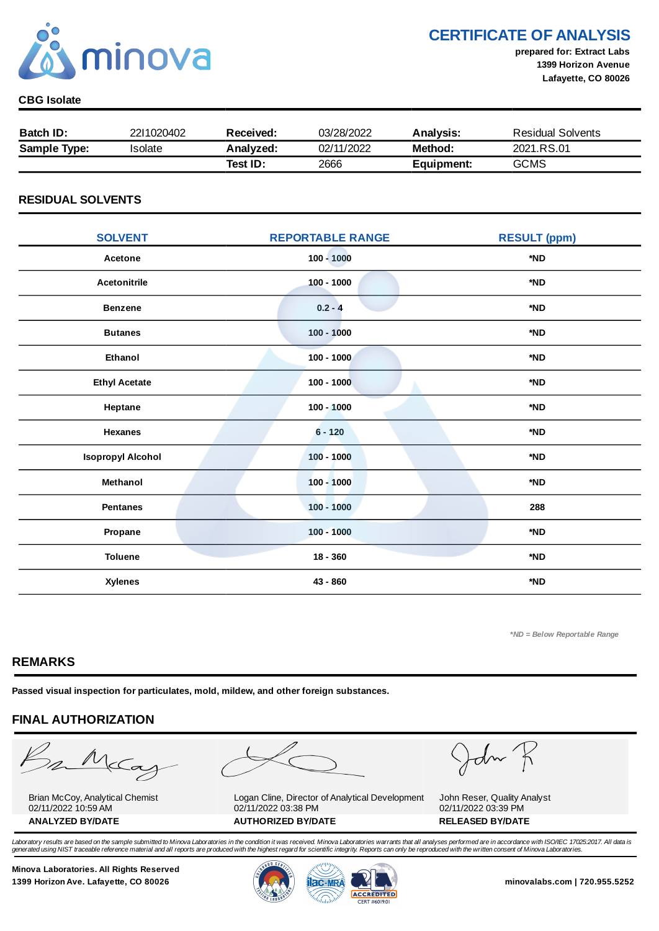

## CERTIFICATE OF ANALYSIS

prepared for: Extract Labs 1399 Horizon Avenue Lafayette, CO 80026

#### CBG Isolate

| <b>Batch ID:</b>    | 2211020402 | Received: | 03/28/2022 | Analysis:  | <b>Residual Solvents</b> |
|---------------------|------------|-----------|------------|------------|--------------------------|
| <b>Sample Type:</b> | 'solate    | Analyzed: | 02/11/2022 | Method:    | 2021.RS.01               |
|                     |            | Test ID:  | 2666       | Equipment: | <b>GCMS</b>              |

#### RESIDUAL SOLVENTS

| <b>SOLVENT</b>           | <b>REPORTABLE RANGE</b> | <b>RESULT (ppm)</b> |
|--------------------------|-------------------------|---------------------|
| Acetone                  | $100 - 1000$            | *ND                 |
| <b>Acetonitrile</b>      | $100 - 1000$            | *ND                 |
| <b>Benzene</b>           | $0.2 - 4$               | *ND                 |
| <b>Butanes</b>           | $100 - 1000$            | *ND                 |
| <b>Ethanol</b>           | $100 - 1000$            | *ND                 |
| <b>Ethyl Acetate</b>     | $100 - 1000$            | *ND                 |
| Heptane                  | $100 - 1000$            | *ND                 |
| <b>Hexanes</b>           | $6 - 120$               | *ND                 |
| <b>Isopropyl Alcohol</b> | $100 - 1000$            | *ND                 |
| Methanol                 | $100 - 1000$            | *ND                 |
| <b>Pentanes</b>          | $100 - 1000$            | 288                 |
| Propane                  | $100 - 1000$            | *ND                 |
| <b>Toluene</b>           | $18 - 360$              | *ND                 |
| <b>Xylenes</b>           | 43 - 860                | *ND                 |

\*ND = Below Reportable Range

#### REMARKS

Passed visual inspection for particulates, mold, mildew, and other foreign substances.

## FINAL AUTHORIZATION

mMcCa

Brian McCoy, Analytical Chemist 02/11/2022 10:59 AM

Logan Cline, Director of Analytical Development 02/11/2022 03:38 PM ANALYZED BY/DATE AUTHORIZED BY/DATE AUTHORIZED BY/DATE

John

John Reser, Quality Analyst 02/11/2022 03:39 PM

Laboratory results are based on the sample submitted to Minova Laboratories in the condition it was received. Minova Laboratories warrants that all analyses performed are in accordance with ISO/IEC 17025:2017. All data is generated using NIST traceable reference material and all reports are produced with the highest regard for scientific integrity. Reports can only be reproduced with the written consent of Minova Laboratories.

Minova Laboratories. All Rights Reserved 1399 Horizon Ave. Lafayette, CO 80026 **1300 Minovalabs.com | 720.955.5252** minovalabs.com | 720.955.5252